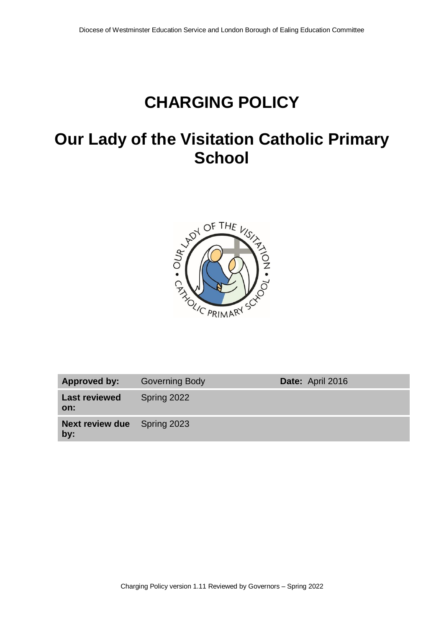## **CHARGING POLICY**

## **Our Lady of the Visitation Catholic Primary School**



| Approved by:                              | <b>Governing Body</b> | Date: April 2016 |
|-------------------------------------------|-----------------------|------------------|
| <b>Last reviewed</b><br>on:               | Spring 2022           |                  |
| <b>Next review due</b> Spring 2023<br>by: |                       |                  |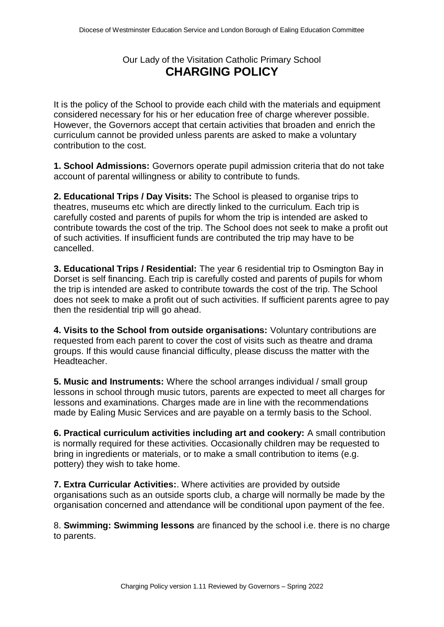## Our Lady of the Visitation Catholic Primary School **CHARGING POLICY**

It is the policy of the School to provide each child with the materials and equipment considered necessary for his or her education free of charge wherever possible. However, the Governors accept that certain activities that broaden and enrich the curriculum cannot be provided unless parents are asked to make a voluntary contribution to the cost.

**1. School Admissions:** Governors operate pupil admission criteria that do not take account of parental willingness or ability to contribute to funds.

**2. Educational Trips / Day Visits:** The School is pleased to organise trips to theatres, museums etc which are directly linked to the curriculum. Each trip is carefully costed and parents of pupils for whom the trip is intended are asked to contribute towards the cost of the trip. The School does not seek to make a profit out of such activities. If insufficient funds are contributed the trip may have to be cancelled.

**3. Educational Trips / Residential:** The year 6 residential trip to Osmington Bay in Dorset is self financing. Each trip is carefully costed and parents of pupils for whom the trip is intended are asked to contribute towards the cost of the trip. The School does not seek to make a profit out of such activities. If sufficient parents agree to pay then the residential trip will go ahead.

**4. Visits to the School from outside organisations:** Voluntary contributions are requested from each parent to cover the cost of visits such as theatre and drama groups. If this would cause financial difficulty, please discuss the matter with the Headteacher.

**5. Music and Instruments:** Where the school arranges individual / small group lessons in school through music tutors, parents are expected to meet all charges for lessons and examinations. Charges made are in line with the recommendations made by Ealing Music Services and are payable on a termly basis to the School.

**6. Practical curriculum activities including art and cookery:** A small contribution is normally required for these activities. Occasionally children may be requested to bring in ingredients or materials, or to make a small contribution to items (e.g. pottery) they wish to take home.

**7. Extra Curricular Activities:**. Where activities are provided by outside organisations such as an outside sports club, a charge will normally be made by the organisation concerned and attendance will be conditional upon payment of the fee.

8. **Swimming: Swimming lessons** are financed by the school i.e. there is no charge to parents.